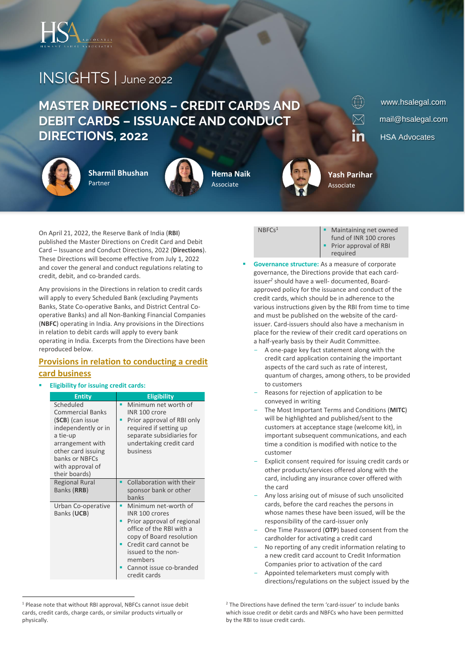

# INSIGHTS | June <sup>2022</sup>

# **MASTER DIRECTIONS – CREDIT CARDS AND DEBIT CARDS – ISSUANCE AND CONDUCT DIRECTIONS, 2022**



**Sharmil Bhushan** Partner



**Hema Naik** Associate



www.hsalegal.com mail@hsalegal.com HSA Advocates

On April 21, 2022, the Reserve Bank of India (**RBI**) published the Master Directions on Credit Card and Debit Card – Issuance and Conduct Directions, 2022 (**Directions**). These Directions will become effective from July 1, 2022 and cover the general and conduct regulations relating to credit, debit, and co-branded cards.

Any provisions in the Directions in relation to credit cards will apply to every Scheduled Bank (excluding Payments Banks, State Co-operative Banks, and District Central Cooperative Banks) and all Non-Banking Financial Companies (**NBFC**) operating in India. Any provisions in the Directions in relation to debit cards will apply to every bank operating in India. Excerpts from the Directions have been reproduced below.

# **Provisions in relation to conducting a credit card business**

▪ **Eligibility for issuing credit cards:**

| <b>Entity</b>                                                                                                                                                                                | <b>Eligibility</b>                                                                                                                                                                                                                |
|----------------------------------------------------------------------------------------------------------------------------------------------------------------------------------------------|-----------------------------------------------------------------------------------------------------------------------------------------------------------------------------------------------------------------------------------|
| Scheduled<br><b>Commercial Banks</b><br>(SCB) (can issue<br>independently or in<br>a tie-up<br>arrangement with<br>other card issuing<br>banks or NBFCs<br>with approval of<br>their boards) | Minimum net worth of<br>INR 100 crore<br>Prior approval of RBI only<br>required if setting up<br>separate subsidiaries for<br>undertaking credit card<br>business                                                                 |
| <b>Regional Rural</b><br>Banks (RRB)                                                                                                                                                         | Collaboration with their<br>sponsor bank or other<br>banks                                                                                                                                                                        |
| Urban Co-operative<br>Banks (UCB)                                                                                                                                                            | Minimum net-worth of<br>INR 100 crores<br>Prior approval of regional<br>office of the RBI with a<br>copy of Board resolution<br>Credit card cannot be<br>issued to the non-<br>members<br>Cannot issue co-branded<br>credit cards |

 $NBFCs<sup>1</sup>$  **■** Maintaining net owned fund of INR 100 crores Prior approval of RBI required

**Yash Parihar** Associate

 $\mathbb{D}$ 

 $\boxtimes$ 

in

- **Governance structure:** As a measure of corporate governance, the Directions provide that each cardissuer*<sup>2</sup>* should have a well- documented, Boardapproved policy for the issuance and conduct of the credit cards, which should be in adherence to the various instructions given by the RBI from time to time and must be published on the website of the cardissuer. Card-issuers should also have a mechanism in place for the review of their credit card operations on a half-yearly basis by their Audit Committee.
	- A one-page key fact statement along with the credit card application containing the important aspects of the card such as rate of interest, quantum of charges, among others, to be provided to customers
	- Reasons for rejection of application to be conveyed in writing
	- The Most Important Terms and Conditions (**MITC**) will be highlighted and published/sent to the customers at acceptance stage (welcome kit), in important subsequent communications, and each time a condition is modified with notice to the customer
	- Explicit consent required for issuing credit cards or other products/services offered along with the card, including any insurance cover offered with the card
	- Any loss arising out of misuse of such unsolicited cards, before the card reaches the persons in whose names these have been issued, will be the responsibility of the card-issuer only
	- One Time Password (**OTP**) based consent from the cardholder for activating a credit card
	- No reporting of any credit information relating to a new credit card account to Credit Information Companies prior to activation of the card
	- Appointed telemarketers must comply with directions/regulations on the subject issued by the

<sup>&</sup>lt;sup>1</sup> Please note that without RBI approval. NBFCs cannot issue debit cards, credit cards, charge cards, or similar products virtually or physically.

<sup>&</sup>lt;sup>2</sup> The Directions have defined the term 'card-issuer' to include banks which issue credit or debit cards and NBFCs who have been permitted by the RBI to issue credit cards.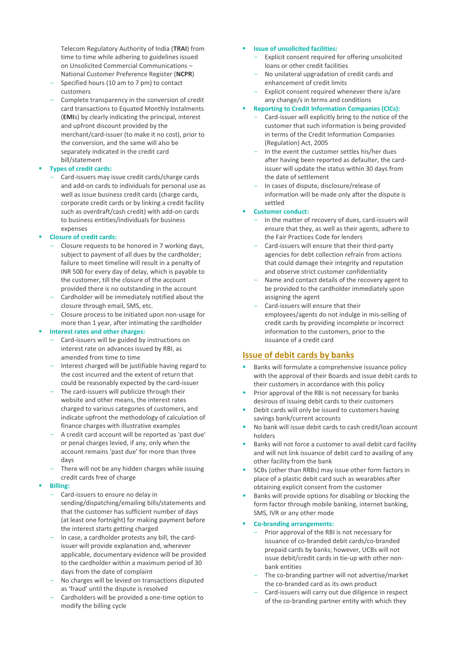Telecom Regulatory Authority of India (**TRAI**) from time to time while adhering to guidelines issued on Unsolicited Commercial Communications – National Customer Preference Register (**NCPR**)

- Specified hours (10 am to 7 pm) to contact customers
- Complete transparency in the conversion of credit card transactions to Equated Monthly Instalments (**EMI**s) by clearly indicating the principal, interest and upfront discount provided by the merchant/card-issuer (to make it no cost), prior to the conversion, and the same will also be separately indicated in the credit card bill/statement
- **Types of credit cards:** 
	- Card-issuers may issue credit cards/charge cards and add-on cards to individuals for personal use as well as issue business credit cards (charge cards, corporate credit cards or by linking a credit facility such as overdraft/cash credit) with add-on cards to business entities/individuals for business expenses
- **Closure of credit cards:**
	- Closure requests to be honored in 7 working days, subiect to payment of all dues by the cardholder; failure to meet timeline will result in a penalty of INR 500 for every day of delay, which is payable to the customer, till the closure of the account provided there is no outstanding in the account
	- Cardholder will be immediately notified about the closure through email, SMS, etc.
	- Closure process to be initiated upon non-usage for more than 1 year, after intimating the cardholder

### ▪ **Interest rates and other charges:**

- Card-issuers will be guided by instructions on interest rate on advances issued by RBI, as amended from time to time
- Interest charged will be justifiable having regard to the cost incurred and the extent of return that could be reasonably expected by the card-issuer
- The card-issuers will publicize through their website and other means, the interest rates charged to various categories of customers, and indicate upfront the methodology of calculation of finance charges with illustrative examples
- A credit card account will be reported as 'past due' or penal charges levied, if any, only when the account remains 'past due' for more than three days
- There will not be any hidden charges while issuing credit cards free of charge
- **Billing:**
	- Card-issuers to ensure no delay in sending/dispatching/emailing bills/statements and that the customer has sufficient number of days (at least one fortnight) for making payment before the interest starts getting charged
	- In case, a cardholder protests any bill, the cardissuer will provide explanation and, wherever applicable, documentary evidence will be provided to the cardholder within a maximum period of 30 days from the date of complaint
	- No charges will be levied on transactions disputed as 'fraud' until the dispute is resolved
	- Cardholders will be provided a one-time option to modify the billing cycle

#### ▪ **Issue of unsolicited facilities:**

- Explicit consent required for offering unsolicited loans or other credit facilities
- No unilateral upgradation of credit cards and enhancement of credit limits
- Explicit consent required whenever there is/are any change/s in terms and conditions
- **Reporting to Credit Information Companies (CICs):** 
	- Card-issuer will explicitly bring to the notice of the customer that such information is being provided in terms of the Credit Information Companies (Regulation) Act, 2005
	- In the event the customer settles his/her dues after having been reported as defaulter, the cardissuer will update the status within 30 days from the date of settlement
	- In cases of dispute, disclosure/release of information will be made only after the dispute is settled

#### ▪ **Customer conduct:**

- In the matter of recovery of dues, card-issuers will ensure that they, as well as their agents, adhere to the Fair Practices Code for lenders
- Card-issuers will ensure that their third-party agencies for debt collection refrain from actions that could damage their integrity and reputation and observe strict customer confidentiality
- Name and contact details of the recovery agent to be provided to the cardholder immediately upon assigning the agent
- Card-issuers will ensure that their employees/agents do not indulge in mis-selling of credit cards by providing incomplete or incorrect information to the customers, prior to the issuance of a credit card

### **Issue of debit cards by banks**

- Banks will formulate a comprehensive issuance policy with the approval of their Boards and issue debit cards to their customers in accordance with this policy
- Prior approval of the RBI is not necessary for banks desirous of issuing debit cards to their customers
- Debit cards will only be issued to customers having savings bank/current accounts
- No bank will issue debit cards to cash credit/loan account holders
- Banks will not force a customer to avail debit card facility and will not link issuance of debit card to availing of any other facility from the bank
- SCBs (other than RRBs) may issue other form factors in place of a plastic debit card such as wearables after obtaining explicit consent from the customer
- Banks will provide options for disabling or blocking the form factor through mobile banking, internet banking, SMS, IVR or any other mode
- **Co-branding arrangements:**
	- Prior approval of the RBI is not necessary for issuance of co-branded debit cards/co-branded prepaid cards by banks; however, UCBs will not issue debit/credit cards in tie-up with other nonbank entities
	- The co-branding partner will not advertise/market the co-branded card as its own product
	- Card-issuers will carry out due diligence in respect of the co-branding partner entity with which they